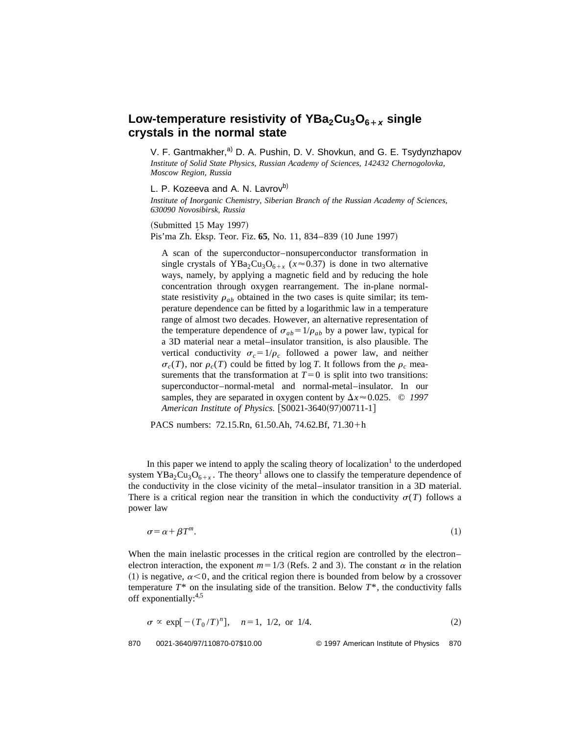## Low-temperature resistivity of YBa<sub>2</sub>Cu<sub>3</sub>O<sub>6+x</sub> single **crystals in the normal state**

V. F. Gantmakher,<sup>a)</sup> D. A. Pushin, D. V. Shovkun, and G. E. Tsydynzhapov *Institute of Solid State Physics, Russian Academy of Sciences, 142432 Chernogolovka, Moscow Region, Russia*

L. P. Kozeeva and A. N. Lavrov<sup>b)</sup>

*Institute of Inorganic Chemistry, Siberian Branch of the Russian Academy of Sciences, 630090 Novosibirsk, Russia*

 $(Submitted 15 May 1997)$ Pis'ma Zh. Eksp. Teor. Fiz. **65**, No. 11, 834–839 (10 June 1997)

A scan of the superconductor–nonsuperconductor transformation in single crystals of YBa<sub>2</sub>Cu<sub>3</sub>O<sub>6+x</sub> ( $x \approx 0.37$ ) is done in two alternative ways, namely, by applying a magnetic field and by reducing the hole concentration through oxygen rearrangement. The in-plane normalstate resistivity  $\rho_{ab}$  obtained in the two cases is quite similar; its temperature dependence can be fitted by a logarithmic law in a temperature range of almost two decades. However, an alternative representation of the temperature dependence of  $\sigma_{ab} = 1/\rho_{ab}$  by a power law, typical for a 3D material near a metal–insulator transition, is also plausible. The vertical conductivity  $\sigma_c = 1/\rho_c$  followed a power law, and neither  $\sigma_c(T)$ , nor  $\rho_c(T)$  could be fitted by log *T*. It follows from the  $\rho_c$  measurements that the transformation at  $T=0$  is split into two transitions: superconductor–normal-metal and normal-metal–insulator. In our samples, they are separated in oxygen content by  $\Delta x \approx 0.025$ . © 1997 *American Institute of Physics.* [S0021-3640(97)00711-1]

PACS numbers: 72.15.Rn, 61.50.Ah, 74.62.Bf, 71.30+h

In this paper we intend to apply the scaling theory of localization<sup>1</sup> to the underdoped system YBa<sub>2</sub>Cu<sub>3</sub>O<sub>6+x</sub>. The theory<sup>1</sup> allows one to classify the temperature dependence of the conductivity in the close vicinity of the metal–insulator transition in a 3D material. There is a critical region near the transition in which the conductivity  $\sigma(T)$  follows a power law

$$
\sigma = \alpha + \beta T^{m}.\tag{1}
$$

When the main inelastic processes in the critical region are controlled by the electron– electron interaction, the exponent  $m=1/3$  (Refs. 2 and 3). The constant  $\alpha$  in the relation (1) is negative,  $\alpha$ <0, and the critical region there is bounded from below by a crossover temperature  $T^*$  on the insulating side of the transition. Below  $T^*$ , the conductivity falls off exponentially:4,5

$$
\sigma \propto \exp[-(T_0/T)^n], \quad n=1, 1/2, \text{ or } 1/4. \tag{2}
$$

870 0021-3640/97/110870-07\$10.00 © 1997 American Institute of Physics 870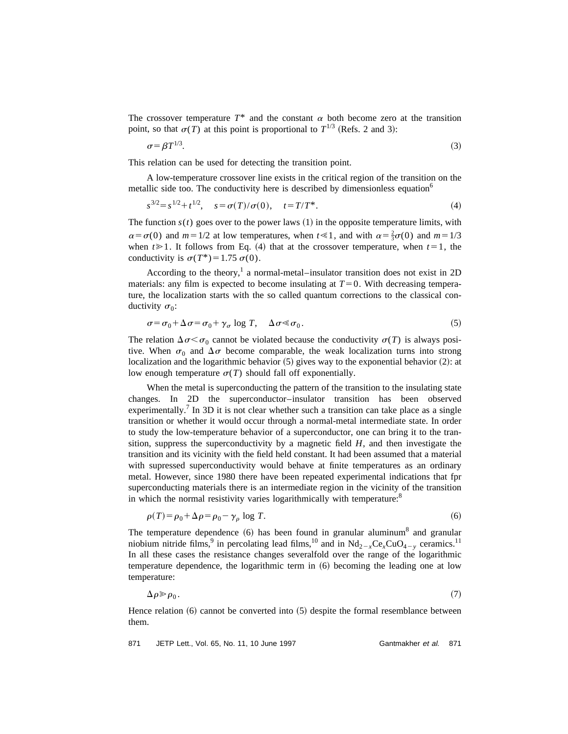The crossover temperature  $T^*$  and the constant  $\alpha$  both become zero at the transition point, so that  $\sigma(T)$  at this point is proportional to  $T^{1/3}$  (Refs. 2 and 3):

$$
\sigma = \beta T^{1/3}.\tag{3}
$$

This relation can be used for detecting the transition point.

A low-temperature crossover line exists in the critical region of the transition on the metallic side too. The conductivity here is described by dimensionless equation<sup>6</sup>

$$
s^{3/2} = s^{1/2} + t^{1/2}, \quad s = \sigma(T)/\sigma(0), \quad t = T/T^*.
$$
 (4)

The function  $s(t)$  goes over to the power laws  $(1)$  in the opposite temperature limits, with  $\alpha = \sigma(0)$  and  $m = 1/2$  at low temperatures, when  $t \le 1$ , and with  $\alpha = \frac{2}{3}\sigma(0)$  and  $m = 1/3$ when  $t \ge 1$ . It follows from Eq. (4) that at the crossover temperature, when  $t=1$ , the conductivity is  $\sigma(T^*)=1.75 \sigma(0)$ .

According to the theory,<sup>1</sup> a normal-metal–insulator transition does not exist in 2D materials: any film is expected to become insulating at  $T=0$ . With decreasing temperature, the localization starts with the so called quantum corrections to the classical conductivity  $\sigma_0$ :

$$
\sigma = \sigma_0 + \Delta \sigma = \sigma_0 + \gamma_\sigma \log T, \quad \Delta \sigma \ll \sigma_0. \tag{5}
$$

The relation  $\Delta \sigma \leq \sigma_0$  cannot be violated because the conductivity  $\sigma(T)$  is always positive. When  $\sigma_0$  and  $\Delta \sigma$  become comparable, the weak localization turns into strong localization and the logarithmic behavior  $(5)$  gives way to the exponential behavior  $(2)$ : at low enough temperature  $\sigma(T)$  should fall off exponentially.

When the metal is superconducting the pattern of the transition to the insulating state changes. In 2D the superconductor–insulator transition has been observed experimentally.<sup>7</sup> In 3D it is not clear whether such a transition can take place as a single transition or whether it would occur through a normal-metal intermediate state. In order to study the low-temperature behavior of a superconductor, one can bring it to the transition, suppress the superconductivity by a magnetic field *H*, and then investigate the transition and its vicinity with the field held constant. It had been assumed that a material with supressed superconductivity would behave at finite temperatures as an ordinary metal. However, since 1980 there have been repeated experimental indications that fpr superconducting materials there is an intermediate region in the vicinity of the transition in which the normal resistivity varies logarithmically with temperature: $8$ 

$$
\rho(T) = \rho_0 + \Delta \rho = \rho_0 - \gamma_\rho \log T. \tag{6}
$$

The temperature dependence  $(6)$  has been found in granular aluminum<sup>8</sup> and granular niobium nitride films,<sup>9</sup> in percolating lead films,<sup>10</sup> and in  $Nd_{2-x}Ce_xCuO_{4-y}$  ceramics.<sup>11</sup> In all these cases the resistance changes severalfold over the range of the logarithmic temperature dependence, the logarithmic term in  $(6)$  becoming the leading one at low temperature:

$$
\Delta \rho \gg \rho_0. \tag{7}
$$

Hence relation  $(6)$  cannot be converted into  $(5)$  despite the formal resemblance between them.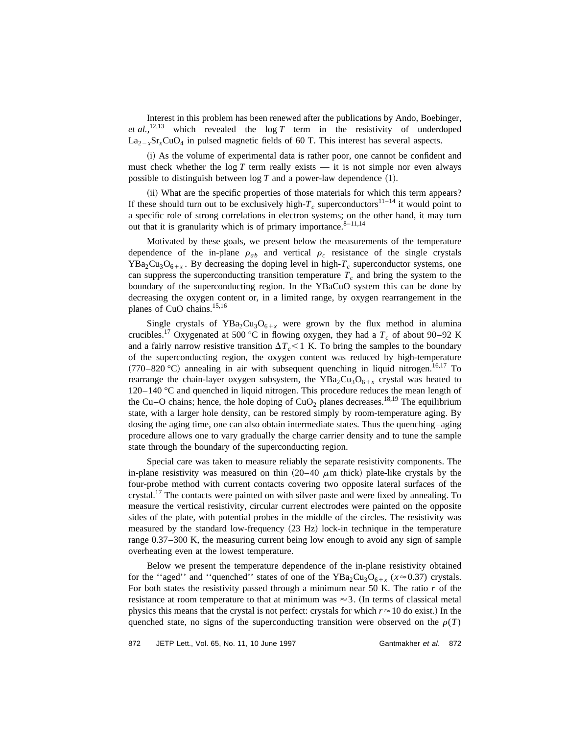Interest in this problem has been renewed after the publications by Ando, Boebinger, *et al.*,<sup>12,13</sup> which revealed the  $\log T$  term in the resistivity of underdoped  $La_{2-x}Sr_xCuO_4$  in pulsed magnetic fields of 60 T. This interest has several aspects.

(i) As the volume of experimental data is rather poor, one cannot be confident and must check whether the  $log T$  term really exists  $-$  it is not simple nor even always possible to distinguish between  $log T$  and a power-law dependence  $(1)$ .

(ii) What are the specific properties of those materials for which this term appears? If these should turn out to be exclusively high- $T_c$  superconductors<sup>11–14</sup> it would point to a specific role of strong correlations in electron systems; on the other hand, it may turn out that it is granularity which is of primary importance. $8-11,14$ 

Motivated by these goals, we present below the measurements of the temperature dependence of the in-plane  $\rho_{ab}$  and vertical  $\rho_c$  resistance of the single crystals  $YBa<sub>2</sub>Cu<sub>3</sub>O<sub>6+x</sub>$ . By decreasing the doping level in high- $T_c$  superconductor systems, one can suppress the superconducting transition temperature  $T_c$  and bring the system to the boundary of the superconducting region. In the YBaCuO system this can be done by decreasing the oxygen content or, in a limited range, by oxygen rearrangement in the planes of CuO chains.<sup>15,16</sup>

Single crystals of YBa<sub>2</sub>Cu<sub>3</sub>O<sub>6+x</sub> were grown by the flux method in alumina crucibles.<sup>17</sup> Oxygenated at 500 °C in flowing oxygen, they had a  $T_c$  of about 90–92 K and a fairly narrow resistive transition  $\Delta T_c < 1$  K. To bring the samples to the boundary of the superconducting region, the oxygen content was reduced by high-temperature  $(770-820 \degree C)$  annealing in air with subsequent quenching in liquid nitrogen.<sup>16,17</sup> To rearrange the chain-layer oxygen subsystem, the  $YBa<sub>2</sub>Cu<sub>3</sub>O<sub>6+x</sub>$  crystal was heated to 120–140 °C and quenched in liquid nitrogen. This procedure reduces the mean length of the Cu–O chains; hence, the hole doping of CuO<sub>2</sub> planes decreases.<sup>18,19</sup> The equilibrium state, with a larger hole density, can be restored simply by room-temperature aging. By dosing the aging time, one can also obtain intermediate states. Thus the quenching–aging procedure allows one to vary gradually the charge carrier density and to tune the sample state through the boundary of the superconducting region.

Special care was taken to measure reliably the separate resistivity components. The in-plane resistivity was measured on thin  $(20-40 \mu m)$  thick) plate-like crystals by the four-probe method with current contacts covering two opposite lateral surfaces of the crystal.<sup>17</sup> The contacts were painted on with silver paste and were fixed by annealing. To measure the vertical resistivity, circular current electrodes were painted on the opposite sides of the plate, with potential probes in the middle of the circles. The resistivity was measured by the standard low-frequency  $(23 \text{ Hz})$  lock-in technique in the temperature range 0.37–300 K, the measuring current being low enough to avoid any sign of sample overheating even at the lowest temperature.

Below we present the temperature dependence of the in-plane resistivity obtained for the "aged" and "quenched" states of one of the  $YBa<sub>2</sub>Cu<sub>3</sub>O<sub>6+x</sub>$  ( $x \approx 0.37$ ) crystals. For both states the resistivity passed through a minimum near 50 K. The ratio *r* of the resistance at room temperature to that at minimum was  $\approx$  3. (In terms of classical metal physics this means that the crystal is not perfect: crystals for which  $r \approx 10$  do exist.) In the quenched state, no signs of the superconducting transition were observed on the  $\rho(T)$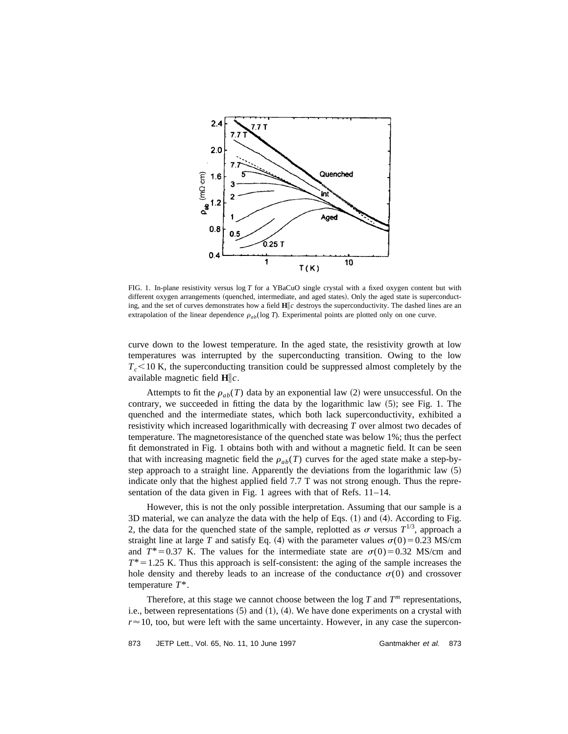

FIG. 1. In-plane resistivity versus log *T* for a YBaCuO single crystal with a fixed oxygen content but with different oxygen arrangements (quenched, intermediate, and aged states). Only the aged state is superconducting, and the set of curves demonstrates how a field **H**i*c* destroys the superconductivity. The dashed lines are an extrapolation of the linear dependence  $\rho_{ab}(\log T)$ . Experimental points are plotted only on one curve.

curve down to the lowest temperature. In the aged state, the resistivity growth at low temperatures was interrupted by the superconducting transition. Owing to the low  $T_c$ <10 K, the superconducting transition could be suppressed almost completely by the available magnetic field  $H\|_c$ .

Attempts to fit the  $\rho_{ab}(T)$  data by an exponential law (2) were unsuccessful. On the contrary, we succeeded in fitting the data by the logarithmic law  $(5)$ ; see Fig. 1. The quenched and the intermediate states, which both lack superconductivity, exhibited a resistivity which increased logarithmically with decreasing *T* over almost two decades of temperature. The magnetoresistance of the quenched state was below 1%; thus the perfect fit demonstrated in Fig. 1 obtains both with and without a magnetic field. It can be seen that with increasing magnetic field the  $\rho_{ab}(T)$  curves for the aged state make a step-bystep approach to a straight line. Apparently the deviations from the logarithmic law  $(5)$ indicate only that the highest applied field 7.7 T was not strong enough. Thus the representation of the data given in Fig. 1 agrees with that of Refs. 11–14.

However, this is not the only possible interpretation. Assuming that our sample is a 3D material, we can analyze the data with the help of Eqs.  $(1)$  and  $(4)$ . According to Fig. 2, the data for the quenched state of the sample, replotted as  $\sigma$  versus  $T^{1/3}$ , approach a straight line at large *T* and satisfy Eq. (4) with the parameter values  $\sigma(0) = 0.23$  MS/cm and  $T^*$ =0.37 K. The values for the intermediate state are  $\sigma(0)$ =0.32 MS/cm and  $T^*$ =1.25 K. Thus this approach is self-consistent: the aging of the sample increases the hole density and thereby leads to an increase of the conductance  $\sigma(0)$  and crossover temperature *T*\*.

Therefore, at this stage we cannot choose between the  $\log T$  and  $T<sup>m</sup>$  representations, i.e., between representations  $(5)$  and  $(1)$ ,  $(4)$ . We have done experiments on a crystal with  $r \approx 10$ , too, but were left with the same uncertainty. However, in any case the supercon-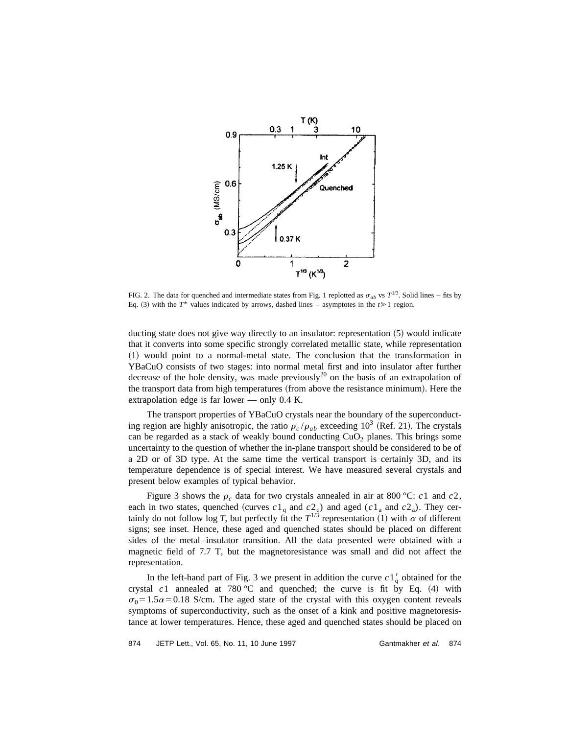

FIG. 2. The data for quenched and intermediate states from Fig. 1 replotted as  $\sigma_{ab}$  vs  $T^{1/3}$ . Solid lines – fits by Eq. (3) with the  $T^*$  values indicated by arrows, dashed lines – asymptotes in the  $t \ge 1$  region.

ducting state does not give way directly to an insulator: representation  $(5)$  would indicate that it converts into some specific strongly correlated metallic state, while representation ~1! would point to a normal-metal state. The conclusion that the transformation in YBaCuO consists of two stages: into normal metal first and into insulator after further decrease of the hole density, was made previously<sup>20</sup> on the basis of an extrapolation of the transport data from high temperatures (from above the resistance minimum). Here the extrapolation edge is far lower — only 0.4 K.

The transport properties of YBaCuO crystals near the boundary of the superconducting region are highly anisotropic, the ratio  $\rho_c / \rho_{ab}$  exceeding 10<sup>3</sup> (Ref. 21). The crystals can be regarded as a stack of weakly bound conducting  $CuO<sub>2</sub>$  planes. This brings some uncertainty to the question of whether the in-plane transport should be considered to be of a 2D or of 3D type. At the same time the vertical transport is certainly 3D, and its temperature dependence is of special interest. We have measured several crystals and present below examples of typical behavior.

Figure 3 shows the  $\rho_c$  data for two crystals annealed in air at 800 °C: *c*1 and *c*2, each in two states, quenched (curves  $c1_q$  and  $c2_q$ ) and aged ( $c1_a$  and  $c2_a$ ). They certainly do not follow log *T*, but perfectly fit the  $T^{1/3}$  representation (1) with  $\alpha$  of different signs; see inset. Hence, these aged and quenched states should be placed on different sides of the metal–insulator transition. All the data presented were obtained with a magnetic field of 7.7 T, but the magnetoresistance was small and did not affect the representation.

In the left-hand part of Fig. 3 we present in addition the curve  $c1\frac{1}{9}$  obtained for the crystal  $c1$  annealed at 780 °C and quenched; the curve is fit by Eq.  $(4)$  with  $\sigma_0$ =1.5 $\alpha$ =0.18 S/cm. The aged state of the crystal with this oxygen content reveals symptoms of superconductivity, such as the onset of a kink and positive magnetoresistance at lower temperatures. Hence, these aged and quenched states should be placed on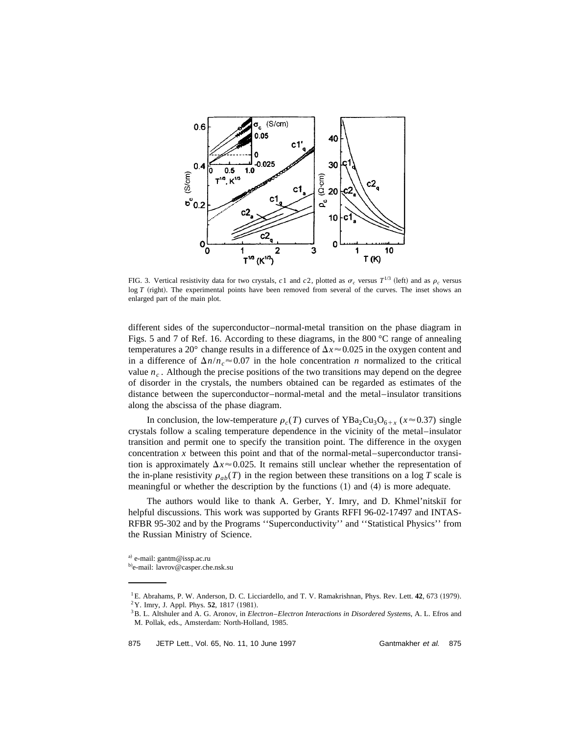

FIG. 3. Vertical resistivity data for two crystals, *c*1 and *c2*, plotted as  $\sigma_c$  versus  $T^{1/3}$  (left) and as  $\rho_c$  versus log *T* (right). The experimental points have been removed from several of the curves. The inset shows an enlarged part of the main plot.

different sides of the superconductor–normal-metal transition on the phase diagram in Figs. 5 and 7 of Ref. 16. According to these diagrams, in the 800 °C range of annealing temperatures a 20° change results in a difference of  $\Delta x \approx 0.025$  in the oxygen content and in a difference of  $\Delta n/n_c \approx 0.07$  in the hole concentration *n* normalized to the critical value  $n_c$ . Although the precise positions of the two transitions may depend on the degree of disorder in the crystals, the numbers obtained can be regarded as estimates of the distance between the superconductor–normal-metal and the metal–insulator transitions along the abscissa of the phase diagram.

In conclusion, the low-temperature  $\rho_c(T)$  curves of YBa<sub>2</sub>Cu<sub>3</sub>O<sub>6+x</sub> ( $x \approx 0.37$ ) single crystals follow a scaling temperature dependence in the vicinity of the metal–insulator transition and permit one to specify the transition point. The difference in the oxygen concentration *x* between this point and that of the normal-metal–superconductor transition is approximately  $\Delta x \approx 0.025$ . It remains still unclear whether the representation of the in-plane resistivity  $\rho_{ab}(T)$  in the region between these transitions on a log *T* scale is meaningful or whether the description by the functions  $(1)$  and  $(4)$  is more adequate.

The authors would like to thank A. Gerber, Y. Imry, and D. Khmel'nitski for helpful discussions. This work was supported by Grants RFFI 96-02-17497 and INTAS-RFBR 95-302 and by the Programs ''Superconductivity'' and ''Statistical Physics'' from the Russian Ministry of Science.

a) e-mail: gantm@issp.ac.ru

b)e-mail: lavrov@casper.che.nsk.su

<sup>&</sup>lt;sup>1</sup>E. Abrahams, P. W. Anderson, D. C. Licciardello, and T. V. Ramakrishnan, Phys. Rev. Lett. **42**, 673 (1979). <sup>2</sup>Y. Imry, J. Appl. Phys. **52**, 1817 (1981).

<sup>3</sup>B. L. Altshuler and A. G. Aronov, in *Electron*–*Electron Interactions in Disordered Systems*, A. L. Efros and M. Pollak, eds., Amsterdam: North-Holland, 1985.